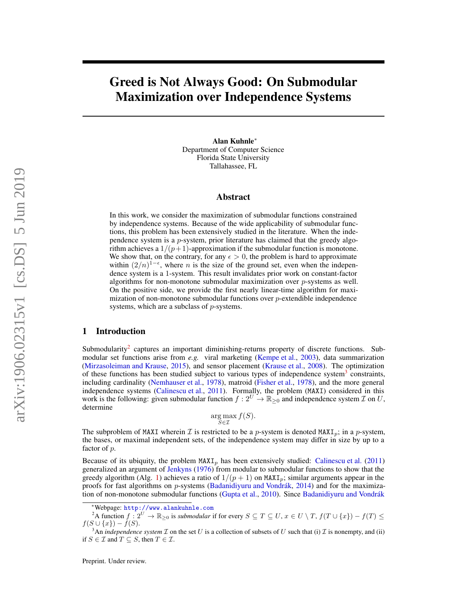# Greed is Not Always Good: On Submodular Maximization over Independence Systems

Alan Kuhnle<sup>∗</sup> Department of Computer Science Florida State University Tallahassee, FL

#### Abstract

In this work, we consider the maximization of submodular functions constrained by independence systems. Because of the wide applicability of submodular functions, this problem has been extensively studied in the literature. When the independence system is a  $p$ -system, prior literature has claimed that the greedy algorithm achieves a  $1/(p+1)$ -approximation if the submodular function is monotone. We show that, on the contrary, for any  $\epsilon > 0$ , the problem is hard to approximate within  $(2/n)^{1-\epsilon}$ , where *n* is the size of the ground set, even when the independence system is a 1-system. This result invalidates prior work on constant-factor algorithms for non-monotone submodular maximization over p-systems as well. On the positive side, we provide the first nearly linear-time algorithm for maximization of non-monotone submodular functions over p-extendible independence systems, which are a subclass of *p*-systems.

## 1 Introduction

Submodularity<sup>2</sup> captures an important diminishing-returns property of discrete functions. Submodular set functions arise from *e.g.* viral marketing (Kempe et al., 2003), data summarization (Mirzasoleiman and Krause, 2015), and sensor placement (Krause et al., 2008). The optimization of these functions has been studied subject to various types of independence system<sup>3</sup> constraints, including cardinality (Nemhauser et al., 1978), matroid (Fisher et al., 1978), and the more general independence systems (Calinescu et al., 2011). Formally, the problem (MAXI) considered in this work is the following: given submodular function  $f: 2^U \to \mathbb{R}_{\geq 0}$  and independence system  $\mathcal I$  on  $U$ , determine

$$
\arg\max_{S \in \mathcal{I}} f(S).
$$

The subproblem of MAXI wherein  $\mathcal I$  is restricted to be a p-system is denoted MAXI<sub>p</sub>; in a p-system, the bases, or maximal independent sets, of the independence system may differ in size by up to a factor of p.

Because of its ubiquity, the problem  $MAXI<sub>p</sub>$  has been extensively studied: Calinescu et al. (2011) generalized an argument of Jenkyns (1976) from modular to submodular functions to show that the greedy algorithm (Alg. 1) achieves a ratio of  $1/(p+1)$  on MAXI<sub>p</sub>; similar arguments appear in the proofs for fast algorithms on p-systems (Badanidiyuru and Vondrák, 2014) and for the maximization of non-monotone submodular functions (Gupta et al., 2010). Since Badanidiyuru and Vondrák

<sup>∗</sup>Webpage: http://www.alankuhnle.com

<sup>&</sup>lt;sup>2</sup>A function  $f: 2^U \to \mathbb{R}_{\geq 0}$  is *submodular* if for every  $S \subseteq T \subseteq U$ ,  $x \in U \setminus T$ ,  $f(T \cup \{x\}) - f(T) \leq$  $f(S \cup \{x\}) - f(S).$ 

<sup>&</sup>lt;sup>3</sup>An *independence system*  $\mathcal I$  on the set U is a collection of subsets of U such that (i)  $\mathcal I$  is nonempty, and (ii) if  $S \in \mathcal{I}$  and  $T \subseteq S$ , then  $T \in \mathcal{I}$ .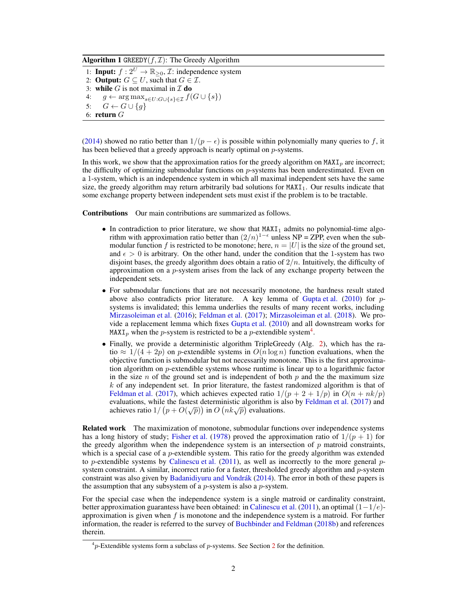Algorithm 1 GREEDY $(f, \mathcal{I})$ : The Greedy Algorithm

1: **Input:**  $f: 2^U \to \mathbb{R}_{\geq 0}$ ,  $\mathcal{I}:$  independence system 2: **Output:**  $G \subseteq U$ , such that  $G \in \mathcal{I}$ . 3: while  $G$  is not maximal in  $\mathcal I$  do 4:  $g \leftarrow \arg \max_{s \in U : G \cup \{s\} \in \mathcal{I}} f(G \cup \{s\})$ 5:  $G \leftarrow G \cup \{q\}$ 

6: return G

(2014) showed no ratio better than  $1/(p - \epsilon)$  is possible within polynomially many queries to f, it has been believed that a greedy approach is nearly optimal on *p*-systems.

In this work, we show that the approximation ratios for the greedy algorithm on  $MAXI<sub>p</sub>$  are incorrect; the difficulty of optimizing submodular functions on  $p$ -systems has been underestimated. Even on a 1-system, which is an independence system in which all maximal independent sets have the same size, the greedy algorithm may return arbitrarily bad solutions for  $MAXI<sub>1</sub>$ . Our results indicate that some exchange property between independent sets must exist if the problem is to be tractable.

Contributions Our main contributions are summarized as follows.

- $\bullet$  In contradiction to prior literature, we show that MAXI<sub>1</sub> admits no polynomial-time algorithm with approximation ratio better than  $(2/n)^{1-\epsilon}$  unless NP = ZPP, even when the submodular function f is restricted to be monotone; here,  $n = |U|$  is the size of the ground set, and  $\epsilon > 0$  is arbitrary. On the other hand, under the condition that the 1-system has two disjoint bases, the greedy algorithm does obtain a ratio of  $2/n$ . Intuitively, the difficulty of approximation on a p-system arises from the lack of any exchange property between the independent sets.
- For submodular functions that are not necessarily monotone, the hardness result stated above also contradicts prior literature. A key lemma of Gupta et al. (2010) for  $p$ systems is invalidated; this lemma underlies the results of many recent works, including Mirzasoleiman et al. (2016); Feldman et al. (2017); Mirzasoleiman et al. (2018). We provide a replacement lemma which fixes Gupta et al. (2010) and all downstream works for MAXI<sub>p</sub> when the p-system is restricted to be a p-extendible system<sup>4</sup>.
- Finally, we provide a deterministic algorithm TripleGreedy (Alg. 2), which has the ratio  $\approx 1/(4 + 2p)$  on p-extendible systems in  $O(n \log n)$  function evaluations, when the objective function is submodular but not necessarily monotone. This is the first approximation algorithm on p-extendible systems whose runtime is linear up to a logarithmic factor in the size  $n$  of the ground set and is independent of both  $p$  and the the maximum size  $k$  of any independent set. In prior literature, the fastest randomized algorithm is that of Feldman et al. (2017), which achieves expected ratio  $1/(p + 2 + 1/p)$  in  $O(n + nk/p)$ evaluations, while the fastest deterministic algorithm is also by Feldman et al. (2017) and evaluations, while the rastest deterministic algorithm is a achieves ratio  $1/(p + O(\sqrt{p}))$  in  $O(nk\sqrt{p})$  evaluations.

Related work The maximization of monotone, submodular functions over independence systems has a long history of study; Fisher et al. (1978) proved the approximation ratio of  $1/(p + 1)$  for the greedy algorithm when the independence system is an intersection of  $p$  matroid constraints, which is a special case of a  $p$ -extendible system. This ratio for the greedy algorithm was extended to p-extendible systems by Calinescu et al. (2011), as well as incorrectly to the more general  $p$ system constraint. A similar, incorrect ratio for a faster, thresholded greedy algorithm and  $p$ -system constraint was also given by Badanidiyuru and Vondrák (2014). The error in both of these papers is the assumption that any subsystem of a  $p$ -system is also a  $p$ -system.

For the special case when the independence system is a single matroid or cardinality constraint, better approximation guarantess have been obtained: in Calinescu et al. (2011), an optimal  $(1-1/e)$ approximation is given when  $f$  is monotone and the independence system is a matroid. For further information, the reader is referred to the survey of Buchbinder and Feldman (2018b) and references therein.

 ${}^{4}p$ -Extendible systems form a subclass of p-systems. See Section 2 for the definition.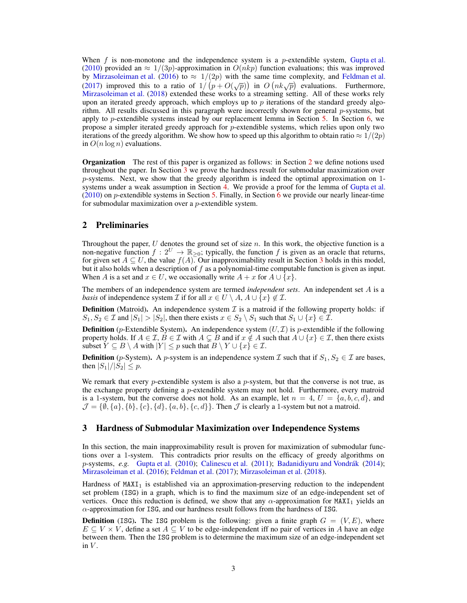When f is non-monotone and the independence system is a p-extendible system, Gupta et al. (2010) provided an  $\approx 1/(3p)$ -approximation in  $O(nkp)$  function evaluations; this was improved by Mirzasoleiman et al. (2016) to  $\approx 1/(2p)$  with the same time complexity, and Feldman et al. by Milasolemian et al. (2010) to  $\approx 1/(2p)$  with the same time complexity, and Feddman et al.<br>(2017) improved this to a ratio of  $1/(p+O(\sqrt{p}))$  in  $O(nk\sqrt{p})$  evaluations. Furthermore, Mirzasoleiman et al. (2018) extended these works to a streaming setting. All of these works rely upon an iterated greedy approach, which employs up to  $p$  iterations of the standard greedy algorithm. All results discussed in this paragraph were incorrectly shown for general p-systems, but apply to *p*-extendible systems instead by our replacement lemma in Section 5. In Section 6, we propose a simpler iterated greedy approach for p-extendible systems, which relies upon only two iterations of the greedy algorithm. We show how to speed up this algorithm to obtain ratio  $\approx 1/(2p)$ in  $O(n \log n)$  evaluations.

**Organization** The rest of this paper is organized as follows: in Section 2 we define notions used throughout the paper. In Section 3 we prove the hardness result for submodular maximization over p-systems. Next, we show that the greedy algorithm is indeed the optimal approximation on 1 systems under a weak assumption in Section 4. We provide a proof for the lemma of Gupta et al.  $(2010)$  on p-extendible systems in Section 5. Finally, in Section 6 we provide our nearly linear-time for submodular maximization over a p-extendible system.

# 2 Preliminaries

Throughout the paper,  $U$  denotes the ground set of size  $n$ . In this work, the objective function is a non-negative function  $f: 2^U \to \mathbb{R}_{\geq 0}$ ; typically, the function f is given as an oracle that returns, for given set  $A \subseteq U$ , the value  $f(A)$ . Our inapproximability result in Section 3 holds in this model, but it also holds when a description of  $f$  as a polynomial-time computable function is given as input. When A is a set and  $x \in U$ , we occasionally write  $A + x$  for  $A \cup \{x\}$ .

The members of an independence system are termed *independent sets*. An independent set A is a *basis* of independence system *I* if for all  $x \in U \setminus A$ ,  $A \cup \{x\} \notin \mathcal{I}$ .

**Definition** (Matroid). An independence system  $\mathcal I$  is a matroid if the following property holds: if  $S_1, S_2 \in \mathcal{I}$  and  $|S_1| > |S_2|$ , then there exists  $x \in S_2 \setminus S_1$  such that  $S_1 \cup \{x\} \in \mathcal{I}$ .

**Definition** (p-Extendible System). An independence system  $(U, \mathcal{I})$  is p-extendible if the following property holds. If  $A \in \mathcal{I}, B \in \mathcal{I}$  with  $A \subsetneq B$  and if  $x \notin A$  such that  $A \cup \{x\} \in \mathcal{I}$ , then there exists subset  $Y \subseteq B \setminus A$  with  $|Y| \leq p$  such that  $B \setminus Y \cup \{x\} \in \mathcal{I}$ .

**Definition** (p-System). A p-system is an independence system I such that if  $S_1, S_2 \in \mathcal{I}$  are bases, then  $|S_1|/|S_2| \leq p$ .

We remark that every *p*-extendible system is also a *p*-system, but that the converse is not true, as the exchange property defining a p-extendible system may not hold. Furthermore, every matroid is a 1-system, but the converse does not hold. As an example, let  $n = 4$ ,  $U = \{a, b, c, d\}$ , and  $\mathcal{J} = \{\emptyset, \{a\}, \{b\}, \{c\}, \{d\}, \{a, b\}, \{c, d\}\}\$ . Then  $\mathcal{J}$  is clearly a 1-system but not a matroid.

## 3 Hardness of Submodular Maximization over Independence Systems

In this section, the main inapproximability result is proven for maximization of submodular functions over a 1-system. This contradicts prior results on the efficacy of greedy algorithms on p-systems, *e.g.* Gupta et al. (2010); Calinescu et al. (2011); Badanidiyuru and Vondrák (2014); Mirzasoleiman et al. (2016); Feldman et al. (2017); Mirzasoleiman et al. (2018).

Hardness of  $MAXI<sub>1</sub>$  is established via an approximation-preserving reduction to the independent set problem (ISG) in a graph, which is to find the maximum size of an edge-independent set of vertices. Once this reduction is defined, we show that any  $\alpha$ -approximation for MAXI<sub>1</sub> yields an  $\alpha$ -approximation for ISG, and our hardness result follows from the hardness of ISG.

**Definition** (ISG). The ISG problem is the following: given a finite graph  $G = (V, E)$ , where  $E \subseteq V \times V$ , define a set  $A \subseteq V$  to be edge-independent iff no pair of vertices in A have an edge between them. Then the ISG problem is to determine the maximum size of an edge-independent set in  $V$ .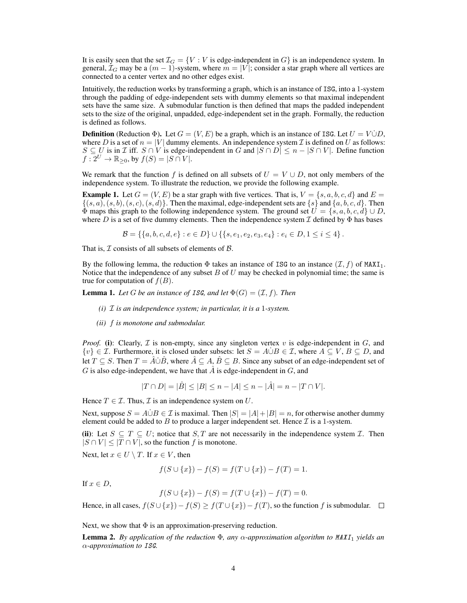It is easily seen that the set  $\mathcal{I}_G = \{V : V \text{ is edge-independent in } G\}$  is an independence system. In general,  $\mathcal{I}_G$  may be a  $(m-1)$ -system, where  $m = |V|$ ; consider a star graph where all vertices are connected to a center vertex and no other edges exist.

Intuitively, the reduction works by transforming a graph, which is an instance of ISG, into a 1-system through the padding of edge-independent sets with dummy elements so that maximal independent sets have the same size. A submodular function is then defined that maps the padded independent sets to the size of the original, unpadded, edge-independent set in the graph. Formally, the reduction is defined as follows.

**Definition** (Reduction  $\Phi$ ). Let  $G = (V, E)$  be a graph, which is an instance of ISG. Let  $U = V \cup D$ , where D is a set of  $n = |V|$  dummy elements. An independence system T is defined on U as follows:  $S \subseteq U$  is in *I* iff.  $S \cap V$  is edge-independent in G and  $|S \cap D| \leq n - |S \cap V|$ . Define function  $f: 2^U \to \mathbb{R}_{\geq 0}$ , by  $f(S) = |S \cap V|$ .

We remark that the function f is defined on all subsets of  $U = V \cup D$ , not only members of the independence system. To illustrate the reduction, we provide the following example.

**Example 1.** Let  $G = (V, E)$  be a star graph with five vertices. That is,  $V = \{s, a, b, c, d\}$  and  $E =$  $\{(s, a), (s, b), (s, c), (s, d)\}\$ . Then the maximal, edge-independent sets are  $\{s\}$  and  $\{a, b, c, d\}$ . Then  $\Phi$  maps this graph to the following independence system. The ground set  $U = \{s, a, b, c, d\} \cup D$ , where D is a set of five dummy elements. Then the independence system I defined by  $\Phi$  has bases

 $\mathcal{B} = \{\{a, b, c, d, e\} : e \in D\} \cup \{\{s, e_1, e_2, e_3, e_4\} : e_i \in D, 1 \leq i \leq 4\}.$ 

That is,  $\mathcal I$  consists of all subsets of elements of  $\mathcal B$ .

By the following lemma, the reduction  $\Phi$  takes an instance of ISG to an instance  $(\mathcal{I}, f)$  of MAXI<sub>1</sub>. Notice that the independence of any subset  $B$  of  $U$  may be checked in polynomial time; the same is true for computation of  $f(B)$ .

**Lemma 1.** Let G be an instance of ISG, and let  $\Phi(G) = (\mathcal{I}, f)$ . Then

- *(i)* I *is an independence system; in particular, it is a* 1*-system.*
- *(ii)* f *is monotone and submodular.*

*Proof.* (i): Clearly,  $I$  is non-empty, since any singleton vertex  $v$  is edge-independent in  $G$ , and  $\{v\} \in \mathcal{I}$ . Furthermore, it is closed under subsets: let  $S = A \cup B \in \mathcal{I}$ , where  $A \subseteq V$ ,  $B \subseteq D$ , and let  $T \subseteq S$ . Then  $T = \hat{A} \cup \hat{B}$ , where  $\hat{A} \subseteq A$ ,  $\hat{B} \subseteq B$ . Since any subset of an edge-independent set of G is also edge-independent, we have that  $\hat{A}$  is edge-independent in G, and

$$
|T \cap D| = |\hat{B}| \le |B| \le n - |A| \le n - |\hat{A}| = n - |T \cap V|.
$$

Hence  $T \in \mathcal{I}$ . Thus,  $\mathcal{I}$  is an independence system on  $U$ .

Next, suppose  $S = A \cup B \in \mathcal{I}$  is maximal. Then  $|S| = |A| + |B| = n$ , for otherwise another dummy element could be added to  $B$  to produce a larger independent set. Hence  $\mathcal I$  is a 1-system.

(ii): Let  $S \subseteq T \subseteq U$ ; notice that  $S, T$  are not necessarily in the independence system  $\mathcal{I}$ . Then  $|S \cap V| \leq |T \cap V|$ , so the function f is monotone.

Next, let  $x \in U \setminus T$ . If  $x \in V$ , then

$$
f(S \cup \{x\}) - f(S) = f(T \cup \{x\}) - f(T) = 1.
$$

If  $x \in D$ ,

$$
f(S \cup \{x\}) - f(S) = f(T \cup \{x\}) - f(T) = 0.
$$

Hence, in all cases,  $f(S \cup \{x\}) - f(S) \ge f(T \cup \{x\}) - f(T)$ , so the function f is submodular.  $\Box$ 

Next, we show that  $\Phi$  is an approximation-preserving reduction.

**Lemma 2.** *By application of the reduction*  $\Phi$ *, any*  $\alpha$ *-approximation algorithm to*  $MAXI_1$  *yields an* α*-approximation to* ISG*.*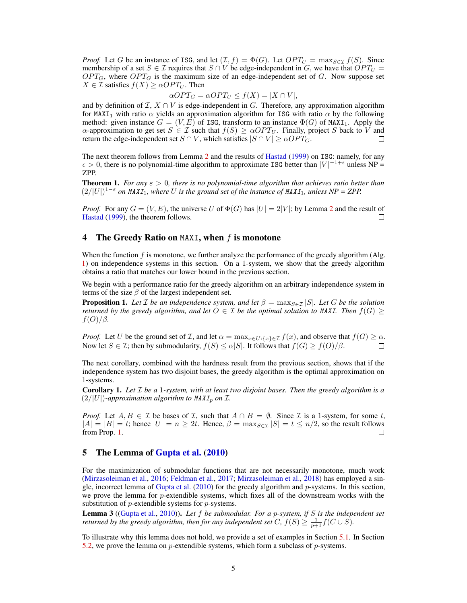*Proof.* Let G be an instance of ISG, and let  $(\mathcal{I}, f) = \Phi(G)$ . Let  $OPT_U = \max_{S \in \mathcal{I}} f(S)$ . Since membership of a set  $S \in \mathcal{I}$  requires that  $S \cap V$  be edge-independent in G, we have that  $OPT_U =$  $OPT_G$ , where  $OPT_G$  is the maximum size of an edge-independent set of G. Now suppose set  $X \in \mathcal{I}$  satisfies  $f(X) \geq \alpha OPT_U$ . Then

$$
\alpha OPT_G = \alpha OPT_U \le f(X) = |X \cap V|,
$$

and by definition of I,  $X \cap V$  is edge-independent in G. Therefore, any approximation algorithm for MAXI<sub>1</sub> with ratio  $\alpha$  yields an approximation algorithm for ISG with ratio  $\alpha$  by the following method: given instance  $G = (V, E)$  of ISG, transform to an instance  $\Phi(G)$  of MAXI<sub>1</sub>. Apply the α-approximation to get set  $S \in \mathcal{I}$  such that  $f(S) \ge \alpha OPT_U$ . Finally, project S back to V and return the edge-independent set  $S \cap V$ , which satisfies  $|S \cap V| \ge \alpha OPT_G$ .

The next theorem follows from Lemma 2 and the results of Hastad (1999) on ISG: namely, for any  $\epsilon > 0$ , there is no polynomial-time algorithm to approximate ISG better than  $|V|^{-1+\epsilon}$  unless NP ZPP.

**Theorem 1.** *For any*  $\varepsilon > 0$ , there is no polynomial-time algorithm that achieves ratio better than  $(2/|U|)^{1-\epsilon}$  on MAXI<sub>1</sub>, where U is the ground set of the instance of MAXI<sub>1</sub>, unless NP = ZPP.

*Proof.* For any  $G = (V, E)$ , the universe U of  $\Phi(G)$  has  $|U| = 2|V|$ ; by Lemma 2 and the result of Hastad (1999), the theorem follows.  $\Box$ 

## 4 The Greedy Ratio on MAXI, when  $f$  is monotone

When the function  $f$  is monotone, we further analyze the performance of the greedy algorithm (Alg. 1) on independence systems in this section. On a 1-system, we show that the greedy algorithm obtains a ratio that matches our lower bound in the previous section.

We begin with a performance ratio for the greedy algorithm on an arbitrary independence system in terms of the size  $\beta$  of the largest independent set.

**Proposition 1.** Let *I* be an independence system, and let  $\beta = \max_{S \in \mathcal{I}} |S|$ . Let *G* be the solution *returned by the greedy algorithm, and let*  $O \in \mathcal{I}$  *be the optimal solution to MAXI. Then*  $f(G) \geq$  $f(O)/\beta$ .

*Proof.* Let U be the ground set of I, and let  $\alpha = \max_{x \in U: \{x\} \in T} f(x)$ , and observe that  $f(G) \geq \alpha$ . Now let  $S \in \mathcal{I}$ ; then by submodularity,  $f(S) \leq \alpha |S|$ . It follows that  $f(G) \geq f(O)/\beta$ .

The next corollary, combined with the hardness result from the previous section, shows that if the independence system has two disjoint bases, the greedy algorithm is the optimal approximation on 1-systems.

Corollary 1. *Let* I *be a* 1*-system, with at least two disjoint bases. Then the greedy algorithm is a*  $(2/|U|)$ -approximation algorithm to MAXI<sub>p</sub> on  $\mathcal{I}$ .

*Proof.* Let  $A, B \in \mathcal{I}$  be bases of  $\mathcal{I}$ , such that  $A \cap B = \emptyset$ . Since  $\mathcal{I}$  is a 1-system, for some t,  $|A| = |B| = t$ ; hence  $|U| = n \ge 2t$ . Hence,  $\beta = \max_{S \in \mathcal{I}} |S| = t \le n/2$ , so the result follows from Prop. 1.  $\Box$ 

# 5 The Lemma of Gupta et al. (2010)

For the maximization of submodular functions that are not necessarily monotone, much work (Mirzasoleiman et al., 2016; Feldman et al., 2017; Mirzasoleiman et al., 2018) has employed a single, incorrect lemma of Gupta et al. (2010) for the greedy algorithm and p-systems. In this section, we prove the lemma for  $p$ -extendible systems, which fixes all of the downstream works with the substitution of  $p$ -extendible systems for  $p$ -systems.

Lemma 3 ((Gupta et al., 2010)). *Let* f *be submodular. For a* p*-system, if* S *is the independent set returned by the greedy algorithm, then for any independent set*  $C, f(S) \geq \frac{1}{p+1} f(C \cup S)$ *.* 

To illustrate why this lemma does not hold, we provide a set of examples in Section 5.1. In Section 5.2, we prove the lemma on  $p$ -extendible systems, which form a subclass of  $p$ -systems.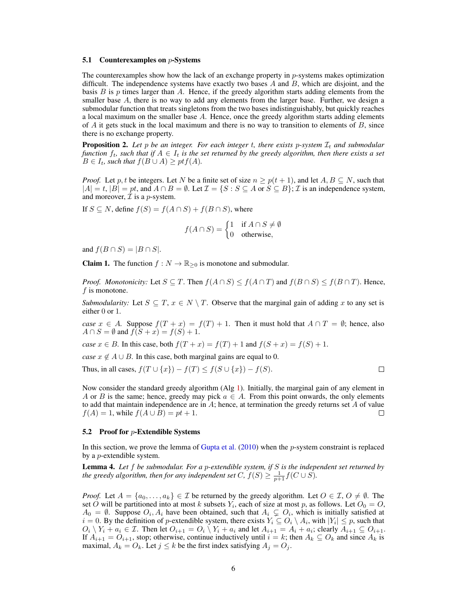#### 5.1 Counterexamples on p-Systems

The counterexamples show how the lack of an exchange property in  $p$ -systems makes optimization difficult. The independence systems have exactly two bases  $A$  and  $B$ , which are disjoint, and the basis  $B$  is  $p$  times larger than  $A$ . Hence, if the greedy algorithm starts adding elements from the smaller base A, there is no way to add any elements from the larger base. Further, we design a submodular function that treats singletons from the two bases indistinguishably, but quickly reaches a local maximum on the smaller base A. Hence, once the greedy algorithm starts adding elements of  $A$  it gets stuck in the local maximum and there is no way to transition to elements of  $B$ , since there is no exchange property.

**Proposition 2.** Let p be an integer. For each integer t, there exists p-system  $\mathcal{I}_t$  and submodular *function*  $f_t$ , such that if  $A \in I_t$  is the set returned by the greedy algorithm, then there exists a set  $B \in I_t$ *, such that*  $f(B \cup A) \geq pt f(A)$ *.* 

*Proof.* Let p, t be integers. Let N be a finite set of size  $n \ge p(t+1)$ , and let  $A, B \subseteq N$ , such that  $|A| = t$ ,  $|B| = pt$ , and  $A \cap B = \emptyset$ . Let  $\mathcal{I} = \{S : S \subseteq A \text{ or } S \subseteq B\}$ ;  $\mathcal{I}$  is an independence system, and moreover,  $\mathcal I$  is a p-system.

If  $S \subseteq N$ , define  $f(S) = f(A \cap S) + f(B \cap S)$ , where

$$
f(A \cap S) = \begin{cases} 1 & \text{if } A \cap S \neq \emptyset \\ 0 & \text{otherwise,} \end{cases}
$$

and  $f(B \cap S) = |B \cap S|$ .

**Claim 1.** The function  $f : N \to \mathbb{R}_{\geq 0}$  is monotone and submodular.

*Proof. Monotonicity:* Let  $S \subseteq T$ . Then  $f(A \cap S) \le f(A \cap T)$  and  $f(B \cap S) \le f(B \cap T)$ . Hence, f is monotone.

*Submodularity:* Let  $S \subseteq T$ ,  $x \in N \setminus T$ . Observe that the marginal gain of adding x to any set is either 0 or 1.

*case*  $x \in A$ *.* Suppose  $f(T + x) = f(T) + 1$ *.* Then it must hold that  $A \cap T = \emptyset$ ; hence, also  $A \cap S = \emptyset$  and  $f(S + x) = f(S) + 1$ .

*case*  $x \in B$ . In this case, both  $f(T + x) = f(T) + 1$  and  $f(S + x) = f(S) + 1$ .

*case*  $x \notin A \cup B$ . In this case, both marginal gains are equal to 0.

Thus, in all cases, 
$$
f(T \cup \{x\}) - f(T) \le f(S \cup \{x\}) - f(S)
$$
.

Now consider the standard greedy algorithm  $(A|g\ 1)$ . Initially, the marginal gain of any element in A or B is the same; hence, greedy may pick  $a \in A$ . From this point onwards, the only elements to add that maintain independence are in  $A$ ; hence, at termination the greedy returns set  $A$  of value  $f(A) = 1$ , while  $f(A \cup B) = pt + 1$ . П

#### 5.2 Proof for  $p$ -Extendible Systems

In this section, we prove the lemma of Gupta et al. (2010) when the p-system constraint is replaced by a p-extendible system.

Lemma 4. *Let* f *be submodular. For a* p*-extendible system, if* S *is the independent set returned by the greedy algorithm, then for any independent set*  $C$ ,  $f(S) \ge \frac{1}{p+1} f(C \cup S)$ .

*Proof.* Let  $A = \{a_0, \ldots, a_k\} \in \mathcal{I}$  be returned by the greedy algorithm. Let  $O \in \mathcal{I}, O \neq \emptyset$ . The set O will be partitioned into at most k subsets  $Y_i$ , each of size at most p, as follows. Let  $O_0 = O$ ,  $A_0 = \emptyset$ . Suppose  $O_i, A_i$  have been obtained, such that  $A_i \subsetneq O_i$ , which is initially satisfied at  $i = 0$ . By the definition of p-extendible system, there exists  $Y_i \subseteq O_i \setminus A_i$ , with  $|Y_i| \leq p$ , such that  $O_i \setminus Y_i + a_i \in \mathcal{I}$ . Then let  $O_{i+1} = O_i \setminus Y_i + a_i$  and let  $A_{i+1} = A_i + a_i$ ; clearly  $A_{i+1} \subseteq O_{i+1}$ . If  $A_{i+1} = O_{i+1}$ , stop; otherwise, continue inductively until  $i = k$ ; then  $A_k \subseteq O_k$  and since  $A_k$  is maximal,  $A_k = O_k$ . Let  $j \leq k$  be the first index satisfying  $A_j = O_j$ .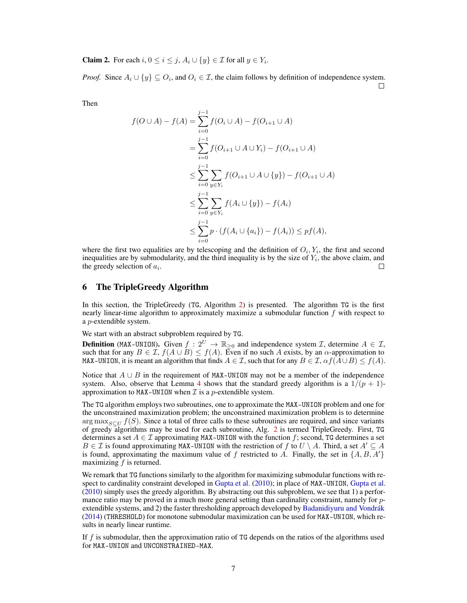**Claim 2.** For each  $i, 0 \le i \le j$ ,  $A_i \cup \{y\} \in \mathcal{I}$  for all  $y \in Y_i$ .

*Proof.* Since  $A_i \cup \{y\} \subseteq O_i$ , and  $O_i \in \mathcal{I}$ , the claim follows by definition of independence system. П

Then

$$
f(O \cup A) - f(A) = \sum_{i=0}^{j-1} f(O_i \cup A) - f(O_{i+1} \cup A)
$$
  
= 
$$
\sum_{i=0}^{j-1} f(O_{i+1} \cup A \cup Y_i) - f(O_{i+1} \cup A)
$$
  

$$
\leq \sum_{i=0}^{j-1} \sum_{y \in Y_i} f(O_{i+1} \cup A \cup \{y\}) - f(O_{i+1} \cup A)
$$
  

$$
\leq \sum_{i=0}^{j-1} \sum_{y \in Y_i} f(A_i \cup \{y\}) - f(A_i)
$$
  

$$
\leq \sum_{i=0}^{j-1} p \cdot (f(A_i \cup \{a_i\}) - f(A_i)) \leq pf(A),
$$

where the first two equalities are by telescoping and the definition of  $O_i$ ,  $Y_i$ , the first and second inequalities are by submodularity, and the third inequality is by the size of  $Y_i$ , the above claim, and the greedy selection of  $a_i$ . П

# 6 The TripleGreedy Algorithm

In this section, the TripleGreedy (TG, Algorithm 2) is presented. The algorithm TG is the first nearly linear-time algorithm to approximately maximize a submodular function  $f$  with respect to a p-extendible system.

We start with an abstract subproblem required by TG.

**Definition** (MAX-UNION). Given  $f : 2^U \to \mathbb{R}_{\geq 0}$  and independence system *I*, determine  $A \in \mathcal{I}$ , such that for any  $B \in \mathcal{I}$ ,  $f(A \cup B) \leq f(A)$ . Even if no such A exists, by an  $\alpha$ -approximation to MAX-UNION, it is meant an algorithm that finds  $A \in \mathcal{I}$ , such that for any  $B \in \mathcal{I}$ ,  $\alpha f(\overline{A} \cup B) \leq f(A)$ .

Notice that  $A \cup B$  in the requirement of MAX-UNION may not be a member of the independence system. Also, observe that Lemma 4 shows that the standard greedy algorithm is a  $1/(p + 1)$ approximation to MAX-UNION when  $\mathcal I$  is a p-extendible system.

The TG algorithm employs two subroutines, one to approximate the MAX-UNION problem and one for the unconstrained maximization problem; the unconstrained maximization problem is to determine arg max<sub>S⊆U</sub> f(S). Since a total of three calls to these subroutines are required, and since variants of greedy algorithms may be used for each subroutine, Alg. 2 is termed TripleGreedy. First, TG determines a set  $A \in \mathcal{I}$  approximating MAX-UNION with the function f; second, TG determines a set  $B \in \mathcal{I}$  is found approximating MAX-UNION with the restriction of f to  $U \setminus A$ . Third, a set  $A' \subseteq A$ is found, approximating the maximum value of f restricted to A. Finally, the set in  $\{A, B, A'\}$ maximizing f is returned.

We remark that TG functions similarly to the algorithm for maximizing submodular functions with respect to cardinality constraint developed in Gupta et al. (2010); in place of MAX-UNION, Gupta et al. (2010) simply uses the greedy algorithm. By abstracting out this subproblem, we see that 1) a performance ratio may be proved in a much more general setting than cardinality constraint, namely for pextendible systems, and 2) the faster thresholding approach developed by Badanidiyuru and Vondrák (2014) (THRESHOLD) for monotone submodular maximization can be used for MAX-UNION, which results in nearly linear runtime.

If  $f$  is submodular, then the approximation ratio of TG depends on the ratios of the algorithms used for MAX-UNION and UNCONSTRAINED-MAX.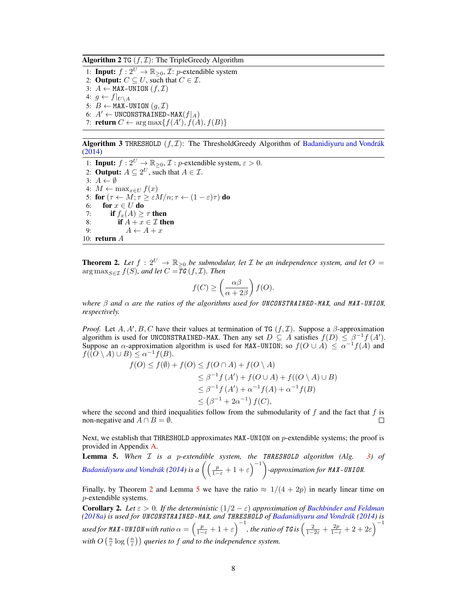Algorithm 2 TG  $(f, \mathcal{I})$ : The TripleGreedy Algorithm

1: **Input:**  $f: 2^U \to \mathbb{R}_{\geq 0}$ , *T*: *p*-extendible system 2: **Output:**  $C \subseteq U$ , such that  $C \in \mathcal{I}$ . 3:  $A$  ← MAX-UNION  $(f, \mathcal{I})$ 4:  $g \leftarrow f|_{U \setminus A}$ 5:  $B \leftarrow \text{MAX-UNION } (q, \mathcal{I})$ 6:  $A' \leftarrow \text{UNCONSTRAINED-MAX}(f|_A)$ 7: return  $C \leftarrow \arg \max \{f(A'), f(A), f(B)\}$ 

**Algorithm 3** THRESHOLD  $(f, \mathcal{I})$ : The ThresholdGreedy Algorithm of Badanidiyuru and Vondrák (2014)

1: **Input:**  $f: 2^U \to \mathbb{R}_{\geq 0}, \mathcal{I}: p\text{-extendible system}, \varepsilon > 0.$ 2: **Output:**  $A \subseteq 2^U$ , such that  $A \in \mathcal{I}$ . 3:  $A \leftarrow \emptyset$ 4:  $M \leftarrow \max_{x \in U} f(x)$ 5: for  $(\tau \leftarrow M; \tau \geq \varepsilon M/n; \tau \leftarrow (1-\varepsilon)\tau)$  do 6: for  $x \in U$  do 7: **if**  $f_x(A) \ge \tau$  **then**<br>8: **if**  $A + x \in \mathcal{I}$  **the** if  $A + x \in \mathcal{I}$  then 9:  $A \leftarrow A + x$ 10: return A

**Theorem 2.** Let  $f : 2^U \to \mathbb{R}_{\geq 0}$  be submodular, let  $\mathcal{I}$  be an independence system, and let  $O =$ arg max $_{S\in\mathcal{I}}$   $f(S)$ *, and let*  $C = TG(f, \mathcal{I})$ *. Then* 

$$
f(C) \ge \left(\frac{\alpha\beta}{\alpha + 2\beta}\right) f(O).
$$

*where*  $\beta$  *and*  $\alpha$  *are the ratios of the algorithms used for UNCONSTRAINED-MAX, and MAX-UNION, respectively.*

*Proof.* Let  $A, A', B, C$  have their values at termination of TG  $(f, \mathcal{I})$ . Suppose a  $\beta$ -approximation algorithm is used for UNCONSTRAINED-MAX. Then any set  $D \subseteq A$  satisfies  $f(D) \leq \beta^{-1}f(A')$ . Suppose an  $\alpha$ -approximation algorithm is used for MAX-UNION; so  $f(O \cup A) \leq \alpha^{-1} f(A)$  and  $f(\tilde(O\setminus A)\cup B)\leq \alpha^{-1}f(B).$ 

$$
f(O) \le f(\emptyset) + f(O) \le f(O \cap A) + f(O \setminus A)
$$
  
\n
$$
\le \beta^{-1} f(A') + f(O \cup A) + f((O \setminus A) \cup B)
$$
  
\n
$$
\le \beta^{-1} f(A') + \alpha^{-1} f(A) + \alpha^{-1} f(B)
$$
  
\n
$$
\le (\beta^{-1} + 2\alpha^{-1}) f(C),
$$

where the second and third inequalities follow from the submodularity of  $f$  and the fact that  $f$  is non-negative and  $A \cap B = \emptyset$ .  $\Box$ 

Next, we establish that THRESHOLD approximates MAX-UNION on *p*-extendible systems; the proof is provided in Appendix A.

Lemma 5. *When* I *is a* p*-extendible system, the* THRESHOLD *algorithm (Alg. 3) of* Badanidiyuru and Vondrák (2014) is a  $\left(\left(\frac{p}{1-\varepsilon}+1+\varepsilon\right)^{-1}\right)$ -approximation for MAX-UNION.

Finally, by Theorem 2 and Lemma 5 we have the ratio  $\approx 1/(4 + 2p)$  in nearly linear time on p-extendible systems.

**Corollary 2.** Let  $\varepsilon > 0$ . If the deterministic  $(1/2 - \varepsilon)$  approximation of Buchbinder and Feldman *(2018a) is used for* UNCONSTRAINED-MAX*, and* THRESHOLD *of Badanidiyuru and Vondrák (2014) is*  $u$ sed for MAX-UNION with ratio  $\alpha=\left(\frac{p}{1-\varepsilon}+1+\varepsilon\right)^{-1}$ , the ratio of TG is  $\left(\frac{2}{1-2\varepsilon}+\frac{2p}{1-\varepsilon}+2+2\varepsilon\right)^{-1}$ with  $O\left(\frac{n}{\varepsilon} \log\left(\frac{n}{\varepsilon}\right)\right)$  queries to f and to the independence system.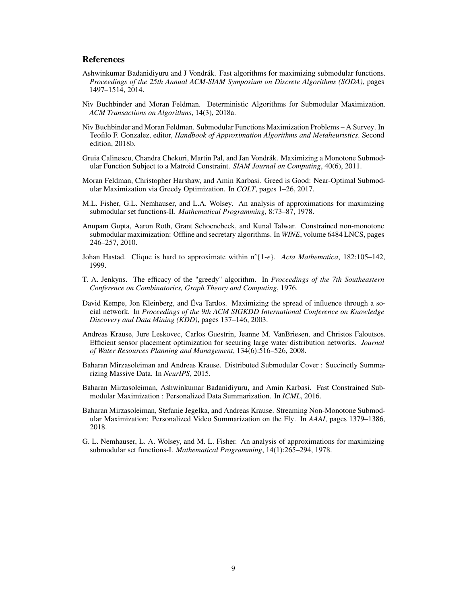# References

- Ashwinkumar Badanidiyuru and J Vondrák. Fast algorithms for maximizing submodular functions. *Proceedings of the 25th Annual ACM-SIAM Symposium on Discrete Algorithms (SODA)*, pages 1497–1514, 2014.
- Niv Buchbinder and Moran Feldman. Deterministic Algorithms for Submodular Maximization. *ACM Transactions on Algorithms*, 14(3), 2018a.
- Niv Buchbinder and Moran Feldman. Submodular Functions Maximization Problems A Survey. In Teofilo F. Gonzalez, editor, *Handbook of Approximation Algorithms and Metaheuristics*. Second edition, 2018b.
- Gruia Calinescu, Chandra Chekuri, Martin Pal, and Jan Vondrák. Maximizing a Monotone Submodular Function Subject to a Matroid Constraint. *SIAM Journal on Computing*, 40(6), 2011.
- Moran Feldman, Christopher Harshaw, and Amin Karbasi. Greed is Good: Near-Optimal Submodular Maximization via Greedy Optimization. In *COLT*, pages 1–26, 2017.
- M.L. Fisher, G.L. Nemhauser, and L.A. Wolsey. An analysis of approximations for maximizing submodular set functions-II. *Mathematical Programming*, 8:73–87, 1978.
- Anupam Gupta, Aaron Roth, Grant Schoenebeck, and Kunal Talwar. Constrained non-monotone submodular maximization: Offline and secretary algorithms. In *WINE*, volume 6484 LNCS, pages 246–257, 2010.
- Johan Hastad. Clique is hard to approximate within  $n^{2}1-\epsilon$ . *Acta Mathematica*, 182:105–142, 1999.
- T. A. Jenkyns. The efficacy of the "greedy" algorithm. In *Proceedings of the 7th Southeastern Conference on Combinatorics, Graph Theory and Computing*, 1976.
- David Kempe, Jon Kleinberg, and Éva Tardos. Maximizing the spread of influence through a social network. In *Proceedings of the 9th ACM SIGKDD International Conference on Knowledge Discovery and Data Mining (KDD)*, pages 137–146, 2003.
- Andreas Krause, Jure Leskovec, Carlos Guestrin, Jeanne M. VanBriesen, and Christos Faloutsos. Efficient sensor placement optimization for securing large water distribution networks. *Journal of Water Resources Planning and Management*, 134(6):516–526, 2008.
- Baharan Mirzasoleiman and Andreas Krause. Distributed Submodular Cover : Succinctly Summarizing Massive Data. In *NeurIPS*, 2015.
- Baharan Mirzasoleiman, Ashwinkumar Badanidiyuru, and Amin Karbasi. Fast Constrained Submodular Maximization : Personalized Data Summarization. In *ICML*, 2016.
- Baharan Mirzasoleiman, Stefanie Jegelka, and Andreas Krause. Streaming Non-Monotone Submodular Maximization: Personalized Video Summarization on the Fly. In *AAAI*, pages 1379–1386, 2018.
- G. L. Nemhauser, L. A. Wolsey, and M. L. Fisher. An analysis of approximations for maximizing submodular set functions-I. *Mathematical Programming*, 14(1):265–294, 1978.